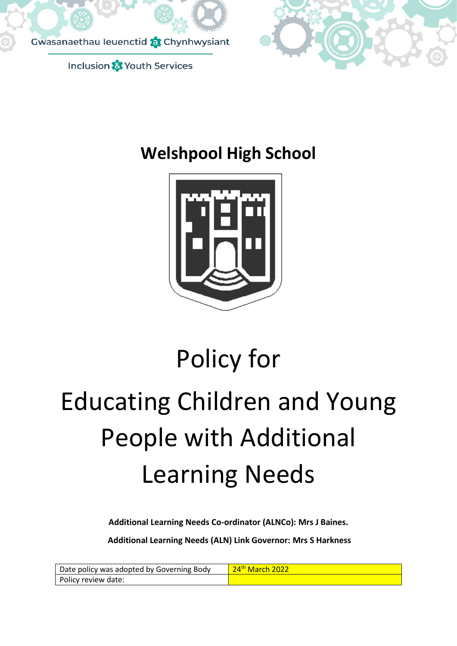



## **Welshpool High School**



# Policy for Educating Children and Young People with Additional Learning Needs

**Additional Learning Needs Co-ordinator (ALNCo): Mrs J Baines.** 

**Additional Learning Needs (ALN) Link Governor: Mrs S Harkness**

| Date policy was adopted by Governing Body | 24 <sup>th</sup> March 2022 |
|-------------------------------------------|-----------------------------|
| Policy review date:                       |                             |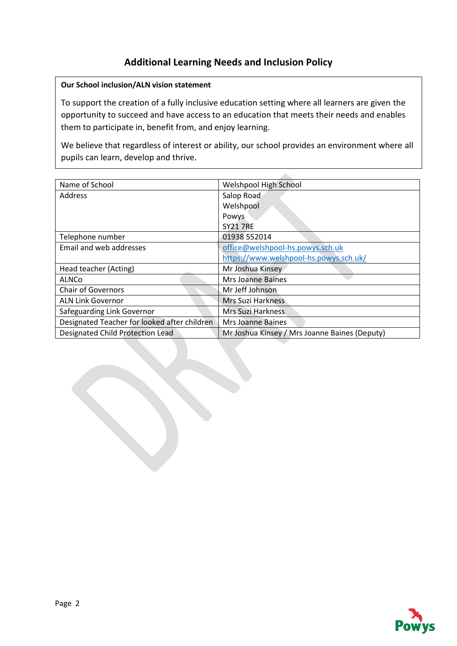## **Additional Learning Needs and Inclusion Policy**

### **Our School inclusion/ALN vision statement**

To support the creation of a fully inclusive education setting where all learners are given the opportunity to succeed and have access to an education that meets their needs and enables them to participate in, benefit from, and enjoy learning.

We believe that regardless of interest or ability, our school provides an environment where all pupils can learn, develop and thrive.

| Name of School                               | Welshpool High School                         |
|----------------------------------------------|-----------------------------------------------|
| Address                                      | Salop Road                                    |
|                                              | Welshpool                                     |
|                                              | Powys                                         |
|                                              | <b>SY21 7RE</b>                               |
| Telephone number                             | 01938 552014                                  |
| Email and web addresses                      | office@welshpool-hs.powys.sch.uk              |
|                                              | https://www.welshpool-hs.powys.sch.uk/        |
| Head teacher (Acting)                        | Mr Joshua Kinsey                              |
| ALNCo                                        | <b>Mrs Joanne Baines</b>                      |
| <b>Chair of Governors</b>                    | Mr Jeff Johnson                               |
| <b>ALN Link Governor</b>                     | Mrs Suzi Harkness                             |
| Safeguarding Link Governor                   | Mrs Suzi Harkness                             |
| Designated Teacher for looked after children | Mrs Joanne Baines                             |
| Designated Child Protection Lead             | Mr Joshua Kinsey / Mrs Joanne Baines (Deputy) |

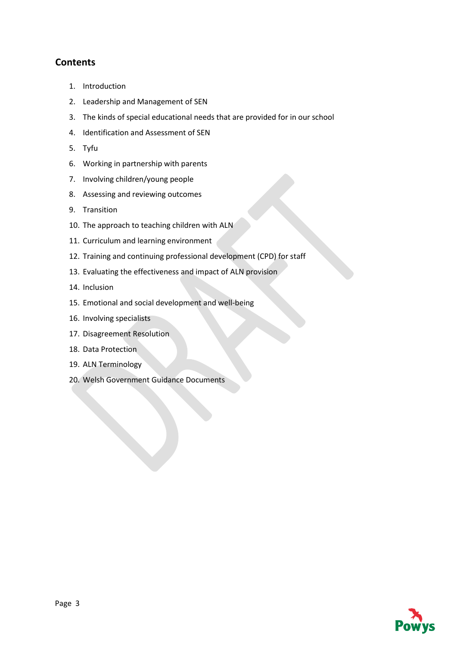## **Contents**

- 1. Introduction
- 2. Leadership and Management of SEN
- 3. The kinds of special educational needs that are provided for in our school
- 4. Identification and Assessment of SEN
- 5. Tyfu
- 6. Working in partnership with parents
- 7. Involving children/young people
- 8. Assessing and reviewing outcomes
- 9. Transition
- 10. The approach to teaching children with ALN
- 11. Curriculum and learning environment
- 12. Training and continuing professional development (CPD) for staff
- 13. Evaluating the effectiveness and impact of ALN provision
- 14. Inclusion
- 15. Emotional and social development and well-being
- 16. Involving specialists
- 17. Disagreement Resolution
- 18. Data Protection
- 19. ALN Terminology
- 20. Welsh Government Guidance Documents

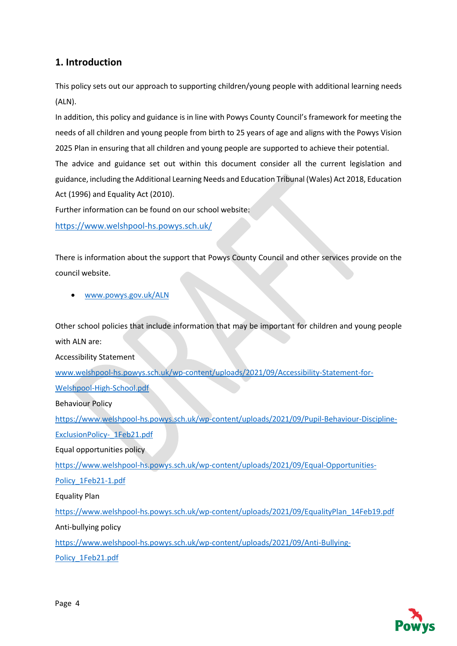## **1. Introduction**

This policy sets out our approach to supporting children/young people with additional learning needs (ALN).

In addition, this policy and guidance is in line with Powys County Council's framework for meeting the needs of all children and young people from birth to 25 years of age and aligns with the Powys Vision 2025 Plan in ensuring that all children and young people are supported to achieve their potential.

The advice and guidance set out within this document consider all the current legislation and guidance, including the Additional Learning Needs and Education Tribunal (Wales) Act 2018, Education Act (1996) and Equality Act (2010).

Further information can be found on our school website:

<https://www.welshpool-hs.powys.sch.uk/>

There is information about the support that Powys County Council and other services provide on the council website.

• [www.powys.gov.uk/ALN](http://www.powys.gov.uk/ALN)

Other school policies that include information that may be important for children and young people with ALN are:

Accessibility Statement

[www.welshpool-hs.powys.sch.uk/wp-content/uploads/2021/09/Accessibility-Statement-for-](http://www.welshpool-hs.powys.sch.uk/wp-content/uploads/2021/09/Accessibility-Statement-for-Welshpool-High-School.pdf)[Welshpool-High-School.pdf](http://www.welshpool-hs.powys.sch.uk/wp-content/uploads/2021/09/Accessibility-Statement-for-Welshpool-High-School.pdf)

Behaviour Policy

[https://www.welshpool-hs.powys.sch.uk/wp-content/uploads/2021/09/Pupil-Behaviour-Discipline-](https://www.welshpool-hs.powys.sch.uk/wp-content/uploads/2021/09/Pupil-Behaviour-Discipline-ExclusionPolicy-_1Feb21.pdf)[ExclusionPolicy-\\_1Feb21.pdf](https://www.welshpool-hs.powys.sch.uk/wp-content/uploads/2021/09/Pupil-Behaviour-Discipline-ExclusionPolicy-_1Feb21.pdf)

Equal opportunities policy

[https://www.welshpool-hs.powys.sch.uk/wp-content/uploads/2021/09/Equal-Opportunities-](https://www.welshpool-hs.powys.sch.uk/wp-content/uploads/2021/09/Equal-Opportunities-Policy_1Feb21-1.pdf)

[Policy\\_1Feb21-1.pdf](https://www.welshpool-hs.powys.sch.uk/wp-content/uploads/2021/09/Equal-Opportunities-Policy_1Feb21-1.pdf)

Equality Plan

[https://www.welshpool-hs.powys.sch.uk/wp-content/uploads/2021/09/EqualityPlan\\_14Feb19.pdf](https://www.welshpool-hs.powys.sch.uk/wp-content/uploads/2021/09/EqualityPlan_14Feb19.pdf)

Anti-bullying policy

[https://www.welshpool-hs.powys.sch.uk/wp-content/uploads/2021/09/Anti-Bullying-](https://www.welshpool-hs.powys.sch.uk/wp-content/uploads/2021/09/Anti-Bullying-Policy_1Feb21.pdf)

[Policy\\_1Feb21.pdf](https://www.welshpool-hs.powys.sch.uk/wp-content/uploads/2021/09/Anti-Bullying-Policy_1Feb21.pdf)

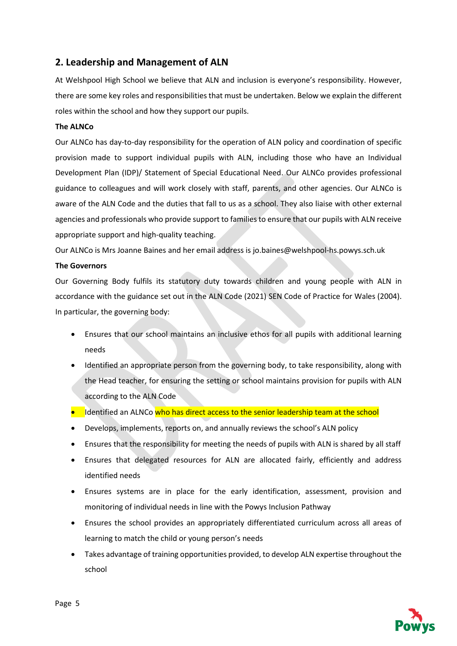## **2. Leadership and Management of ALN**

At Welshpool High School we believe that ALN and inclusion is everyone's responsibility. However, there are some key roles and responsibilities that must be undertaken. Below we explain the different roles within the school and how they support our pupils.

#### **The ALNCo**

Our ALNCo has day-to-day responsibility for the operation of ALN policy and coordination of specific provision made to support individual pupils with ALN, including those who have an Individual Development Plan (IDP)/ Statement of Special Educational Need. Our ALNCo provides professional guidance to colleagues and will work closely with staff, parents, and other agencies. Our ALNCo is aware of the ALN Code and the duties that fall to us as a school. They also liaise with other external agencies and professionals who provide support to families to ensure that our pupils with ALN receive appropriate support and high-quality teaching.

Our ALNCo is Mrs Joanne Baines and her email address is jo.baines@welshpool-hs.powys.sch.uk

#### **The Governors**

Our Governing Body fulfils its statutory duty towards children and young people with ALN in accordance with the guidance set out in the ALN Code (2021) SEN Code of Practice for Wales (2004). In particular, the governing body:

- Ensures that our school maintains an inclusive ethos for all pupils with additional learning needs
- Identified an appropriate person from the governing body, to take responsibility, along with the Head teacher, for ensuring the setting or school maintains provision for pupils with ALN according to the ALN Code
- Identified an ALNCo who has direct access to the senior leadership team at the school
- Develops, implements, reports on, and annually reviews the school's ALN policy
- Ensures that the responsibility for meeting the needs of pupils with ALN is shared by all staff
- Ensures that delegated resources for ALN are allocated fairly, efficiently and address identified needs
- Ensures systems are in place for the early identification, assessment, provision and monitoring of individual needs in line with the Powys Inclusion Pathway
- Ensures the school provides an appropriately differentiated curriculum across all areas of learning to match the child or young person's needs
- Takes advantage of training opportunities provided, to develop ALN expertise throughout the school

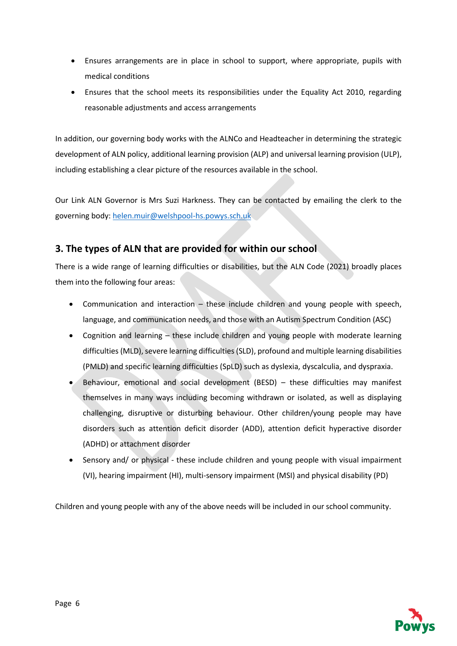- Ensures arrangements are in place in school to support, where appropriate, pupils with medical conditions
- Ensures that the school meets its responsibilities under the Equality Act 2010, regarding reasonable adjustments and access arrangements

In addition, our governing body works with the ALNCo and Headteacher in determining the strategic development of ALN policy, additional learning provision (ALP) and universal learning provision (ULP), including establishing a clear picture of the resources available in the school.

Our Link ALN Governor is Mrs Suzi Harkness. They can be contacted by emailing the clerk to the governing body: [helen.muir@welshpool-hs.powys.sch.uk](mailto:helen.muir@welshpool-hs.powys.sch.uk)

## **3. The types of ALN that are provided for within our school**

There is a wide range of learning difficulties or disabilities, but the ALN Code (2021) broadly places them into the following four areas:

- Communication and interaction these include children and young people with speech, language, and communication needs, and those with an Autism Spectrum Condition (ASC)
- Cognition and learning these include children and young people with moderate learning difficulties (MLD), severe learning difficulties (SLD), profound and multiple learning disabilities (PMLD) and specific learning difficulties (SpLD) such as dyslexia, dyscalculia, and dyspraxia.
- Behaviour, emotional and social development (BESD) these difficulties may manifest themselves in many ways including becoming withdrawn or isolated, as well as displaying challenging, disruptive or disturbing behaviour. Other children/young people may have disorders such as attention deficit disorder (ADD), attention deficit hyperactive disorder (ADHD) or attachment disorder
- Sensory and/ or physical these include children and young people with visual impairment (VI), hearing impairment (HI), multi-sensory impairment (MSI) and physical disability (PD)

Children and young people with any of the above needs will be included in our school community.

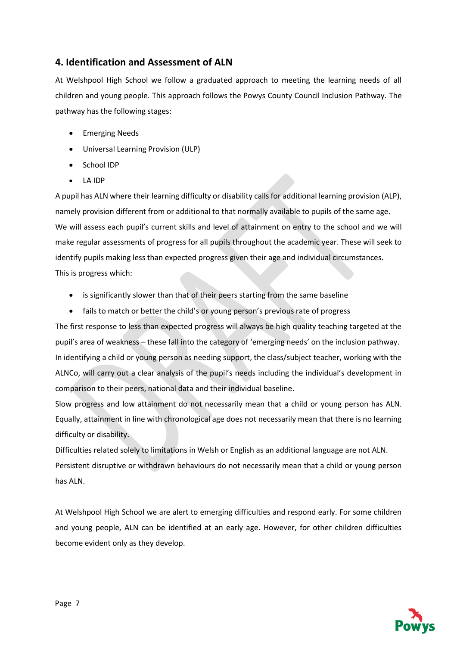## **4. Identification and Assessment of ALN**

At Welshpool High School we follow a graduated approach to meeting the learning needs of all children and young people. This approach follows the Powys County Council Inclusion Pathway. The pathway has the following stages:

- Emerging Needs
- Universal Learning Provision (ULP)
- School IDP
- LA IDP

A pupil has ALN where their learning difficulty or disability calls for additional learning provision (ALP), namely provision different from or additional to that normally available to pupils of the same age. We will assess each pupil's current skills and level of attainment on entry to the school and we will make regular assessments of progress for all pupils throughout the academic year. These will seek to identify pupils making less than expected progress given their age and individual circumstances. This is progress which:

- is significantly slower than that of their peers starting from the same baseline
- fails to match or better the child's or young person's previous rate of progress

The first response to less than expected progress will always be high quality teaching targeted at the pupil's area of weakness – these fall into the category of 'emerging needs' on the inclusion pathway. In identifying a child or young person as needing support, the class/subject teacher, working with the ALNCo, will carry out a clear analysis of the pupil's needs including the individual's development in comparison to their peers, national data and their individual baseline.

Slow progress and low attainment do not necessarily mean that a child or young person has ALN. Equally, attainment in line with chronological age does not necessarily mean that there is no learning difficulty or disability.

Difficulties related solely to limitations in Welsh or English as an additional language are not ALN. Persistent disruptive or withdrawn behaviours do not necessarily mean that a child or young person has ALN.

At Welshpool High School we are alert to emerging difficulties and respond early. For some children and young people, ALN can be identified at an early age. However, for other children difficulties become evident only as they develop.

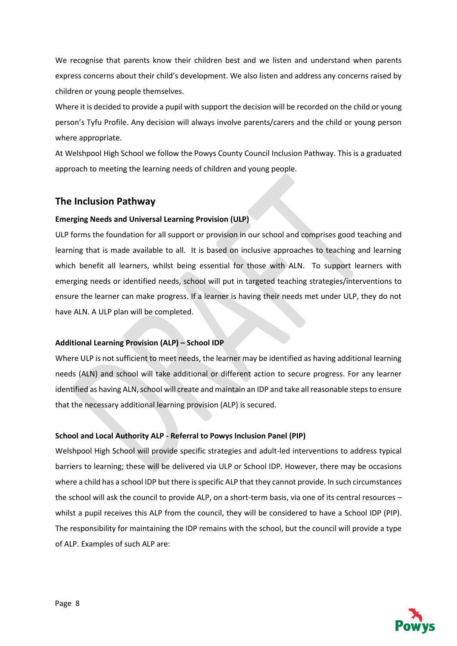We recognise that parents know their children best and we listen and understand when parents express concerns about their child's development. We also listen and address any concerns raised by children or young people themselves.

Where it is decided to provide a pupil with support the decision will be recorded on the child or young person's Tyfu Profile. Any decision will always involve parents/carers and the child or young person where appropriate.

At Welshpool High School we follow the Powys County Council Inclusion Pathway. This is a graduated approach to meeting the learning needs of children and young people.

## **The Inclusion Pathway**

#### **Emerging Needs and Universal Learning Provision (ULP)**

ULP forms the foundation for all support or provision in our school and comprises good teaching and learning that is made available to all. It is based on inclusive approaches to teaching and learning which benefit all learners, whilst being essential for those with ALN. To support learners with emerging needs or identified needs, school will put in targeted teaching strategies/interventions to ensure the learner can make progress. If a learner is having their needs met under ULP, they do not have ALN. A ULP plan will be completed.

#### **Additional Learning Provision (ALP) – School IDP**

Where ULP is not sufficient to meet needs, the learner may be identified as having additional learning needs (ALN) and school will take additional or different action to secure progress. For any learner identified as having ALN, school will create and maintain an IDP and take all reasonable steps to ensure that the necessary additional learning provision (ALP) is secured.

#### **School and Local Authority ALP - Referral to Powys Inclusion Panel (PIP)**

Welshpool High School will provide specific strategies and adult-led interventions to address typical barriers to learning; these will be delivered via ULP or School IDP. However, there may be occasions where a child has a school IDP but there is specific ALP that they cannot provide. In such circumstances the school will ask the council to provide ALP, on a short-term basis, via one of its central resources – whilst a pupil receives this ALP from the council, they will be considered to have a School IDP (PIP). The responsibility for maintaining the IDP remains with the school, but the council will provide a type of ALP. Examples of such ALP are:

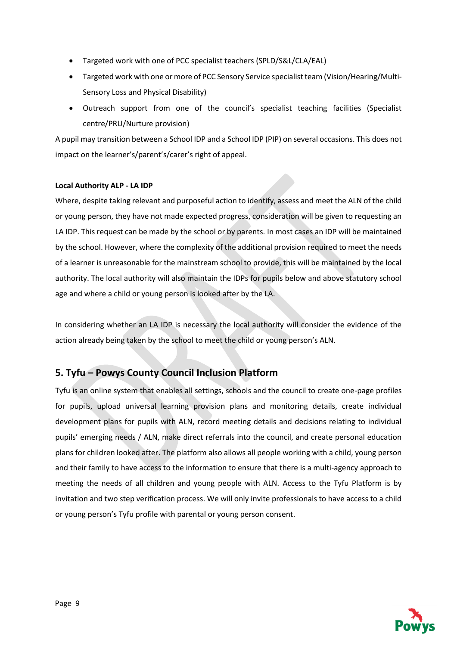- Targeted work with one of PCC specialist teachers (SPLD/S&L/CLA/EAL)
- Targeted work with one or more of PCC Sensory Service specialist team (Vision/Hearing/Multi-Sensory Loss and Physical Disability)
- Outreach support from one of the council's specialist teaching facilities (Specialist centre/PRU/Nurture provision)

A pupil may transition between a School IDP and a School IDP (PIP) on several occasions. This does not impact on the learner's/parent's/carer's right of appeal.

#### **Local Authority ALP - LA IDP**

Where, despite taking relevant and purposeful action to identify, assess and meet the ALN of the child or young person, they have not made expected progress, consideration will be given to requesting an LA IDP. This request can be made by the school or by parents. In most cases an IDP will be maintained by the school. However, where the complexity of the additional provision required to meet the needs of a learner is unreasonable for the mainstream school to provide, this will be maintained by the local authority. The local authority will also maintain the IDPs for pupils below and above statutory school age and where a child or young person is looked after by the LA.

In considering whether an LA IDP is necessary the local authority will consider the evidence of the action already being taken by the school to meet the child or young person's ALN.

## **5. Tyfu – Powys County Council Inclusion Platform**

Tyfu is an online system that enables all settings, schools and the council to create one-page profiles for pupils, upload universal learning provision plans and monitoring details, create individual development plans for pupils with ALN, record meeting details and decisions relating to individual pupils' emerging needs / ALN, make direct referrals into the council, and create personal education plans for children looked after. The platform also allows all people working with a child, young person and their family to have access to the information to ensure that there is a multi-agency approach to meeting the needs of all children and young people with ALN. Access to the Tyfu Platform is by invitation and two step verification process. We will only invite professionals to have access to a child or young person's Tyfu profile with parental or young person consent.

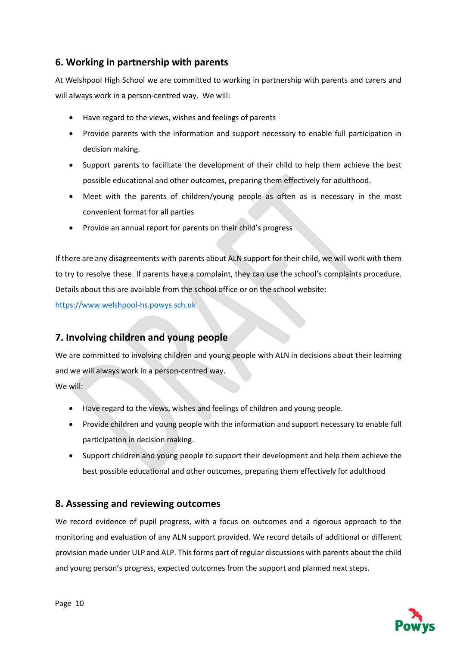## **6. Working in partnership with parents**

At Welshpool High School we are committed to working in partnership with parents and carers and will always work in a person-centred way. We will:

- Have regard to the views, wishes and feelings of parents
- Provide parents with the information and support necessary to enable full participation in decision making.
- Support parents to facilitate the development of their child to help them achieve the best possible educational and other outcomes, preparing them effectively for adulthood.
- Meet with the parents of children/young people as often as is necessary in the most convenient format for all parties
- Provide an annual report for parents on their child's progress

If there are any disagreements with parents about ALN support for their child, we will work with them to try to resolve these. If parents have a complaint, they can use the school's complaints procedure. Details about this are available from the school office or on the school website:

[https://www.welshpool-hs.powys.sch.uk](https://www.welshpool-hs.powys.sch.uk/)

## **7. Involving children and young people**

We are committed to involving children and young people with ALN in decisions about their learning and we will always work in a person-centred way.

We will:

- Have regard to the views, wishes and feelings of children and young people.
- Provide children and young people with the information and support necessary to enable full participation in decision making.
- Support children and young people to support their development and help them achieve the best possible educational and other outcomes, preparing them effectively for adulthood

## **8. Assessing and reviewing outcomes**

We record evidence of pupil progress, with a focus on outcomes and a rigorous approach to the monitoring and evaluation of any ALN support provided. We record details of additional or different provision made under ULP and ALP. This forms part of regular discussions with parents about the child and young person's progress, expected outcomes from the support and planned next steps.

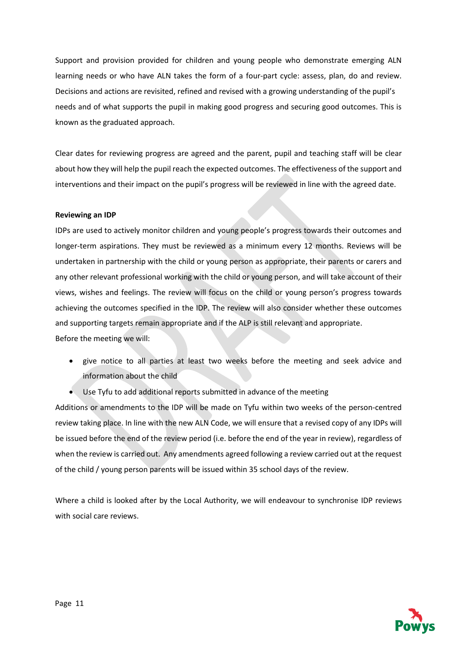Support and provision provided for children and young people who demonstrate emerging ALN learning needs or who have ALN takes the form of a four-part cycle: assess, plan, do and review. Decisions and actions are revisited, refined and revised with a growing understanding of the pupil's needs and of what supports the pupil in making good progress and securing good outcomes. This is known as the graduated approach.

Clear dates for reviewing progress are agreed and the parent, pupil and teaching staff will be clear about how they will help the pupil reach the expected outcomes. The effectiveness of the support and interventions and their impact on the pupil's progress will be reviewed in line with the agreed date.

#### **Reviewing an IDP**

IDPs are used to actively monitor children and young people's progress towards their outcomes and longer-term aspirations. They must be reviewed as a minimum every 12 months. Reviews will be undertaken in partnership with the child or young person as appropriate, their parents or carers and any other relevant professional working with the child or young person, and will take account of their views, wishes and feelings. The review will focus on the child or young person's progress towards achieving the outcomes specified in the IDP. The review will also consider whether these outcomes and supporting targets remain appropriate and if the ALP is still relevant and appropriate. Before the meeting we will:

- give notice to all parties at least two weeks before the meeting and seek advice and information about the child
- Use Tyfu to add additional reports submitted in advance of the meeting

Additions or amendments to the IDP will be made on Tyfu within two weeks of the person-centred review taking place. In line with the new ALN Code, we will ensure that a revised copy of any IDPs will be issued before the end of the review period (i.e. before the end of the year in review), regardless of when the review is carried out. Any amendments agreed following a review carried out at the request of the child / young person parents will be issued within 35 school days of the review.

Where a child is looked after by the Local Authority, we will endeavour to synchronise IDP reviews with social care reviews.

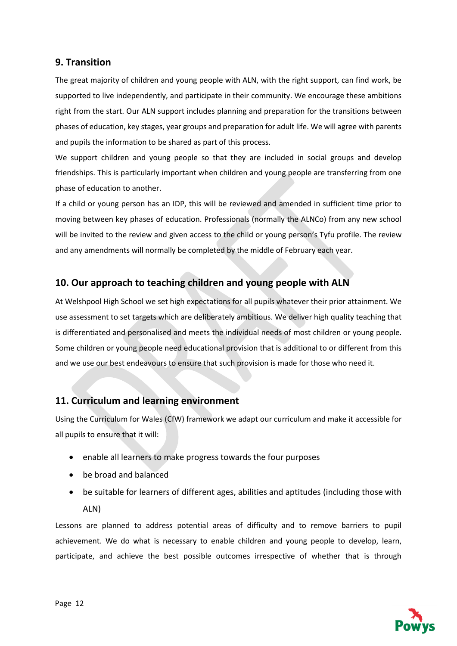## **9. Transition**

The great majority of children and young people with ALN, with the right support, can find work, be supported to live independently, and participate in their community. We encourage these ambitions right from the start. Our ALN support includes planning and preparation for the transitions between phases of education, key stages, year groups and preparation for adult life. We will agree with parents and pupils the information to be shared as part of this process.

We support children and young people so that they are included in social groups and develop friendships. This is particularly important when children and young people are transferring from one phase of education to another.

If a child or young person has an IDP, this will be reviewed and amended in sufficient time prior to moving between key phases of education. Professionals (normally the ALNCo) from any new school will be invited to the review and given access to the child or young person's Tyfu profile. The review and any amendments will normally be completed by the middle of February each year.

## **10. Our approach to teaching children and young people with ALN**

At Welshpool High School we set high expectations for all pupils whatever their prior attainment. We use assessment to set targets which are deliberately ambitious. We deliver high quality teaching that is differentiated and personalised and meets the individual needs of most children or young people. Some children or young people need educational provision that is additional to or different from this and we use our best endeavours to ensure that such provision is made for those who need it.

## **11. Curriculum and learning environment**

Using the Curriculum for Wales (CfW) framework we adapt our curriculum and make it accessible for all pupils to ensure that it will:

- enable all learners to make progress towards the four purposes
- be broad and balanced
- be suitable for learners of different ages, abilities and aptitudes (including those with ALN)

Lessons are planned to address potential areas of difficulty and to remove barriers to pupil achievement. We do what is necessary to enable children and young people to develop, learn, participate, and achieve the best possible outcomes irrespective of whether that is through

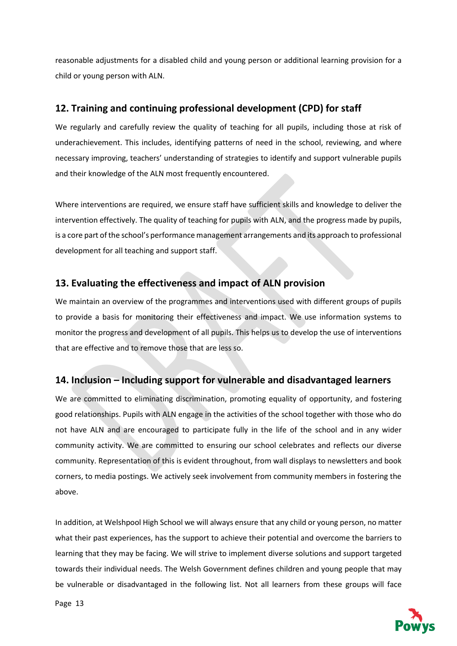reasonable adjustments for a disabled child and young person or additional learning provision for a child or young person with ALN.

## **12. Training and continuing professional development (CPD) for staff**

We regularly and carefully review the quality of teaching for all pupils, including those at risk of underachievement. This includes, identifying patterns of need in the school, reviewing, and where necessary improving, teachers' understanding of strategies to identify and support vulnerable pupils and their knowledge of the ALN most frequently encountered.

Where interventions are required, we ensure staff have sufficient skills and knowledge to deliver the intervention effectively. The quality of teaching for pupils with ALN, and the progress made by pupils, is a core part of the school's performance management arrangements and its approach to professional development for all teaching and support staff.

## **13. Evaluating the effectiveness and impact of ALN provision**

We maintain an overview of the programmes and interventions used with different groups of pupils to provide a basis for monitoring their effectiveness and impact. We use information systems to monitor the progress and development of all pupils. This helps us to develop the use of interventions that are effective and to remove those that are less so.

## **14. Inclusion – Including support for vulnerable and disadvantaged learners**

We are committed to eliminating discrimination, promoting equality of opportunity, and fostering good relationships. Pupils with ALN engage in the activities of the school together with those who do not have ALN and are encouraged to participate fully in the life of the school and in any wider community activity. We are committed to ensuring our school celebrates and reflects our diverse community. Representation of this is evident throughout, from wall displays to newsletters and book corners, to media postings. We actively seek involvement from community members in fostering the above.

In addition, at Welshpool High School we will always ensure that any child or young person, no matter what their past experiences, has the support to achieve their potential and overcome the barriers to learning that they may be facing. We will strive to implement diverse solutions and support targeted towards their individual needs. The Welsh Government defines children and young people that may be vulnerable or disadvantaged in the following list. Not all learners from these groups will face

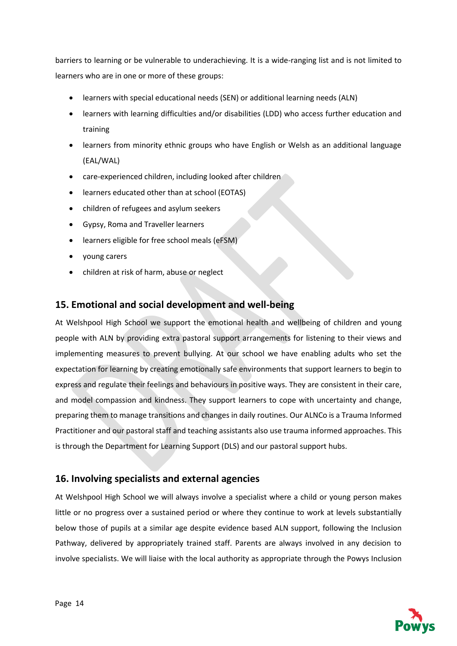barriers to learning or be vulnerable to underachieving. It is a wide-ranging list and is not limited to learners who are in one or more of these groups:

- learners with special educational needs (SEN) or additional learning needs (ALN)
- learners with learning difficulties and/or disabilities (LDD) who access further education and training
- learners from minority ethnic groups who have English or Welsh as an additional language (EAL/WAL)
- care-experienced children, including looked after children
- learners educated other than at school (EOTAS)
- children of refugees and asylum seekers
- Gypsy, Roma and Traveller learners
- learners eligible for free school meals (eFSM)
- young carers
- children at risk of harm, abuse or neglect

## **15. Emotional and social development and well-being**

At Welshpool High School we support the emotional health and wellbeing of children and young people with ALN by providing extra pastoral support arrangements for listening to their views and implementing measures to prevent bullying. At our school we have enabling adults who set the expectation for learning by creating emotionally safe environments that support learners to begin to express and regulate their feelings and behaviours in positive ways. They are consistent in their care, and model compassion and kindness. They support learners to cope with uncertainty and change, preparing them to manage transitions and changes in daily routines. Our ALNCo is a Trauma Informed Practitioner and our pastoral staff and teaching assistants also use trauma informed approaches. This is through the Department for Learning Support (DLS) and our pastoral support hubs.

## **16. Involving specialists and external agencies**

At Welshpool High School we will always involve a specialist where a child or young person makes little or no progress over a sustained period or where they continue to work at levels substantially below those of pupils at a similar age despite evidence based ALN support, following the Inclusion Pathway, delivered by appropriately trained staff. Parents are always involved in any decision to involve specialists. We will liaise with the local authority as appropriate through the Powys Inclusion

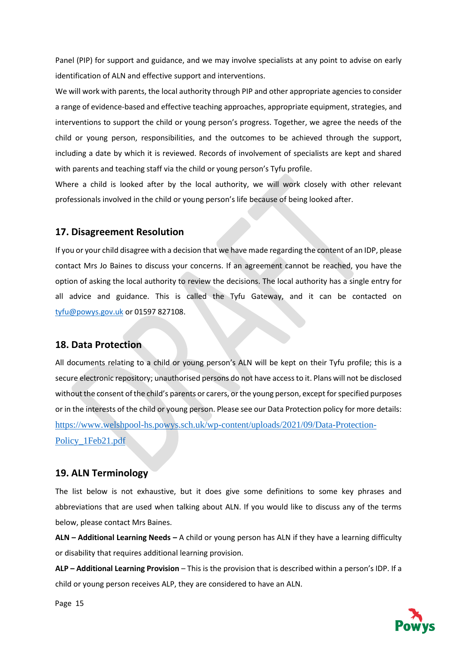Panel (PIP) for support and guidance, and we may involve specialists at any point to advise on early identification of ALN and effective support and interventions.

We will work with parents, the local authority through PIP and other appropriate agencies to consider a range of evidence-based and effective teaching approaches, appropriate equipment, strategies, and interventions to support the child or young person's progress. Together, we agree the needs of the child or young person, responsibilities, and the outcomes to be achieved through the support, including a date by which it is reviewed. Records of involvement of specialists are kept and shared with parents and teaching staff via the child or young person's Tyfu profile.

Where a child is looked after by the local authority, we will work closely with other relevant professionals involved in the child or young person's life because of being looked after.

#### **17. Disagreement Resolution**

If you or your child disagree with a decision that we have made regarding the content of an IDP, please contact Mrs Jo Baines to discuss your concerns. If an agreement cannot be reached, you have the option of asking the local authority to review the decisions. The local authority has a single entry for all advice and guidance. This is called the Tyfu Gateway, and it can be contacted on [tyfu@powys.gov.uk](mailto:tyfu@powys.gov.uk) or 01597 827108.

#### **18. Data Protection**

All documents relating to a child or young person's ALN will be kept on their Tyfu profile; this is a secure electronic repository; unauthorised persons do not have access to it. Plans will not be disclosed without the consent of the child's parents or carers, or the young person, except for specified purposes or in the interests of the child or young person. Please see our Data Protection policy for more details: [https://www.welshpool-hs.powys.sch.uk/wp-content/uploads/2021/09/Data-Protection-](https://www.welshpool-hs.powys.sch.uk/wp-content/uploads/2021/09/Data-Protection-Policy_1Feb21.pdf)Policy 1Feb21.pdf

#### **19. ALN Terminology**

The list below is not exhaustive, but it does give some definitions to some key phrases and abbreviations that are used when talking about ALN. If you would like to discuss any of the terms below, please contact Mrs Baines.

**ALN – Additional Learning Needs –** A child or young person has ALN if they have a learning difficulty or disability that requires additional learning provision.

**ALP – Additional Learning Provision** – This is the provision that is described within a person's IDP. If a child or young person receives ALP, they are considered to have an ALN.



Page 15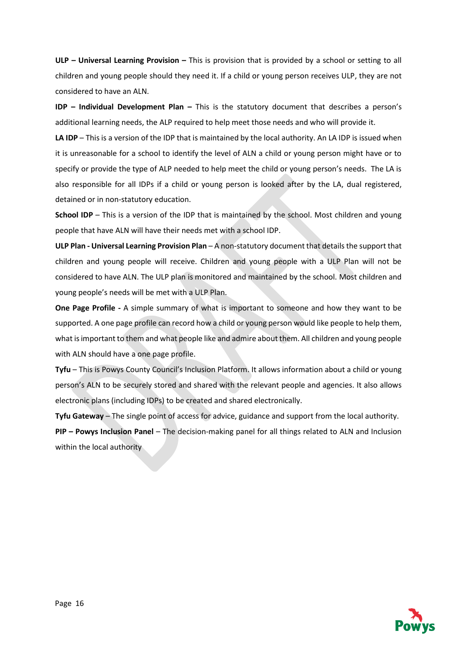**ULP – Universal Learning Provision –** This is provision that is provided by a school or setting to all children and young people should they need it. If a child or young person receives ULP, they are not considered to have an ALN.

**IDP – Individual Development Plan –** This is the statutory document that describes a person's additional learning needs, the ALP required to help meet those needs and who will provide it.

**LA IDP** – This is a version of the IDP that is maintained by the local authority. An LA IDP is issued when it is unreasonable for a school to identify the level of ALN a child or young person might have or to specify or provide the type of ALP needed to help meet the child or young person's needs. The LA is also responsible for all IDPs if a child or young person is looked after by the LA, dual registered, detained or in non-statutory education.

**School IDP** – This is a version of the IDP that is maintained by the school. Most children and young people that have ALN will have their needs met with a school IDP.

**ULP Plan - Universal Learning Provision Plan** – A non-statutory document that details the support that children and young people will receive. Children and young people with a ULP Plan will not be considered to have ALN. The ULP plan is monitored and maintained by the school. Most children and young people's needs will be met with a ULP Plan.

**One Page Profile -** A simple summary of what is important to someone and how they want to be supported. A one page profile can record how a child or young person would like people to help them, what is important to them and what people like and admire about them. All children and young people with ALN should have a one page profile.

**Tyfu** – This is Powys County Council's Inclusion Platform. It allows information about a child or young person's ALN to be securely stored and shared with the relevant people and agencies. It also allows electronic plans (including IDPs) to be created and shared electronically.

**Tyfu Gateway** – The single point of access for advice, guidance and support from the local authority. **PIP – Powys Inclusion Panel** – The decision-making panel for all things related to ALN and Inclusion within the local authority